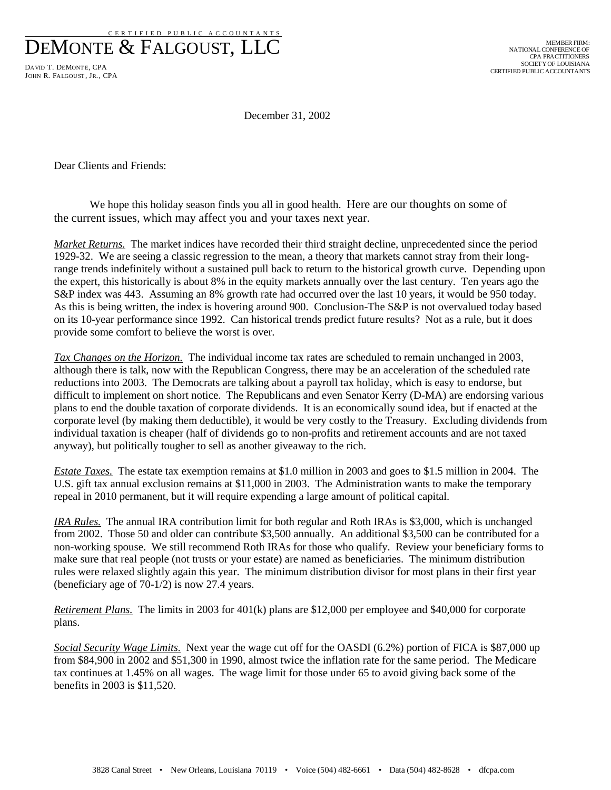CERT IFIED PUBLIC ACCOUNTANTS DEMONTE & FALGOUST, LLC

DAVID T. DEMONTE, CPA JOHN R. FALGOUST, JR., CPA

December 31, 2002

Dear Clients and Friends:

We hope this holiday season finds you all in good health. Here are our thoughts on some of the current issues, which may affect you and your taxes next year.

*Market Returns.* The market indices have recorded their third straight decline, unprecedented since the period 1929-32. We are seeing a classic regression to the mean, a theory that markets cannot stray from their longrange trends indefinitely without a sustained pull back to return to the historical growth curve. Depending upon the expert, this historically is about 8% in the equity markets annually over the last century. Ten years ago the S&P index was 443. Assuming an 8% growth rate had occurred over the last 10 years, it would be 950 today. As this is being written, the index is hovering around 900. Conclusion-The S&P is not overvalued today based on its 10-year performance since 1992. Can historical trends predict future results? Not as a rule, but it does provide some comfort to believe the worst is over.

*Tax Changes on the Horizon.* The individual income tax rates are scheduled to remain unchanged in 2003, although there is talk, now with the Republican Congress, there may be an acceleration of the scheduled rate reductions into 2003. The Democrats are talking about a payroll tax holiday, which is easy to endorse, but difficult to implement on short notice. The Republicans and even Senator Kerry (D-MA) are endorsing various plans to end the double taxation of corporate dividends. It is an economically sound idea, but if enacted at the corporate level (by making them deductible), it would be very costly to the Treasury. Excluding dividends from individual taxation is cheaper (half of dividends go to non-profits and retirement accounts and are not taxed anyway), but politically tougher to sell as another giveaway to the rich.

*Estate Taxes.* The estate tax exemption remains at \$1.0 million in 2003 and goes to \$1.5 million in 2004. The U.S. gift tax annual exclusion remains at \$11,000 in 2003. The Administration wants to make the temporary repeal in 2010 permanent, but it will require expending a large amount of political capital.

*IRA Rules.* The annual IRA contribution limit for both regular and Roth IRAs is \$3,000, which is unchanged from 2002. Those 50 and older can contribute \$3,500 annually. An additional \$3,500 can be contributed for a non-working spouse. We still recommend Roth IRAs for those who qualify. Review your beneficiary forms to make sure that real people (not trusts or your estate) are named as beneficiaries. The minimum distribution rules were relaxed slightly again this year. The minimum distribution divisor for most plans in their first year (beneficiary age of 70-1/2) is now 27.4 years.

*Retirement Plans.* The limits in 2003 for 401(k) plans are \$12,000 per employee and \$40,000 for corporate plans.

*Social Security Wage Limits.* Next year the wage cut off for the OASDI (6.2%) portion of FICA is \$87,000 up from \$84,900 in 2002 and \$51,300 in 1990, almost twice the inflation rate for the same period. The Medicare tax continues at 1.45% on all wages. The wage limit for those under 65 to avoid giving back some of the benefits in 2003 is \$11,520.